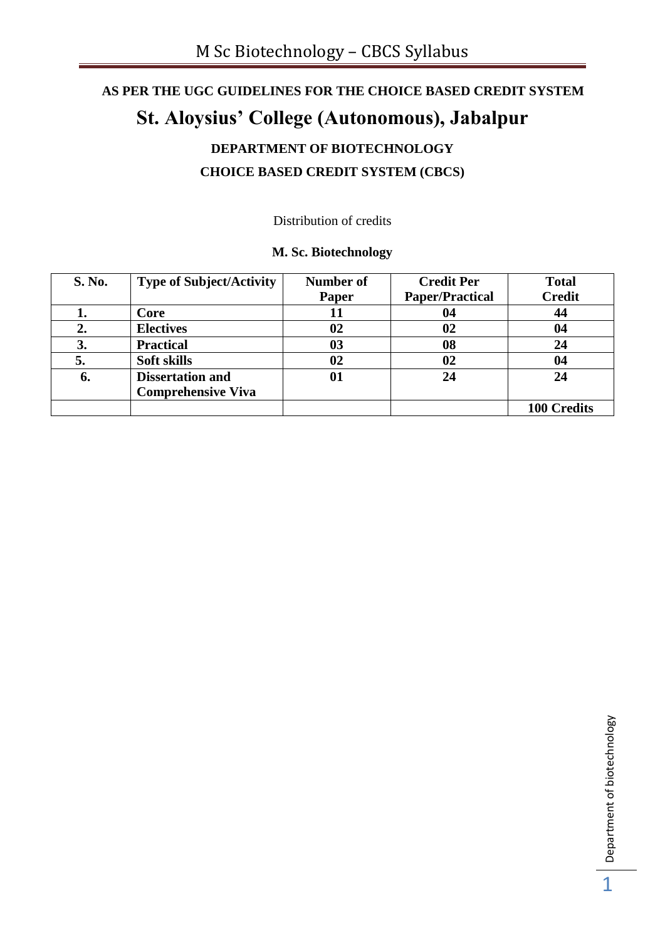# **AS PER THE UGC GUIDELINES FOR THE CHOICE BASED CREDIT SYSTEM St. Aloysius' College (Autonomous), Jabalpur**

## **DEPARTMENT OF BIOTECHNOLOGY CHOICE BASED CREDIT SYSTEM (CBCS)**

Distribution of credits

## **M. Sc. Biotechnology**

| <b>S. No.</b> | <b>Type of Subject/Activity</b> | Number of | <b>Credit Per</b>      | <b>Total</b>       |
|---------------|---------------------------------|-----------|------------------------|--------------------|
|               |                                 | Paper     | <b>Paper/Practical</b> | <b>Credit</b>      |
|               | Core                            | 11        | 04                     | 44                 |
| 2.            | <b>Electives</b>                | 02        | 02                     | 04                 |
| 3.            | <b>Practical</b>                | 03        | 08                     | 24                 |
|               | <b>Soft skills</b>              | 02        | 02                     | 04                 |
| 6.            | <b>Dissertation and</b>         | 01        | 24                     | 24                 |
|               | <b>Comprehensive Viva</b>       |           |                        |                    |
|               |                                 |           |                        | <b>100 Credits</b> |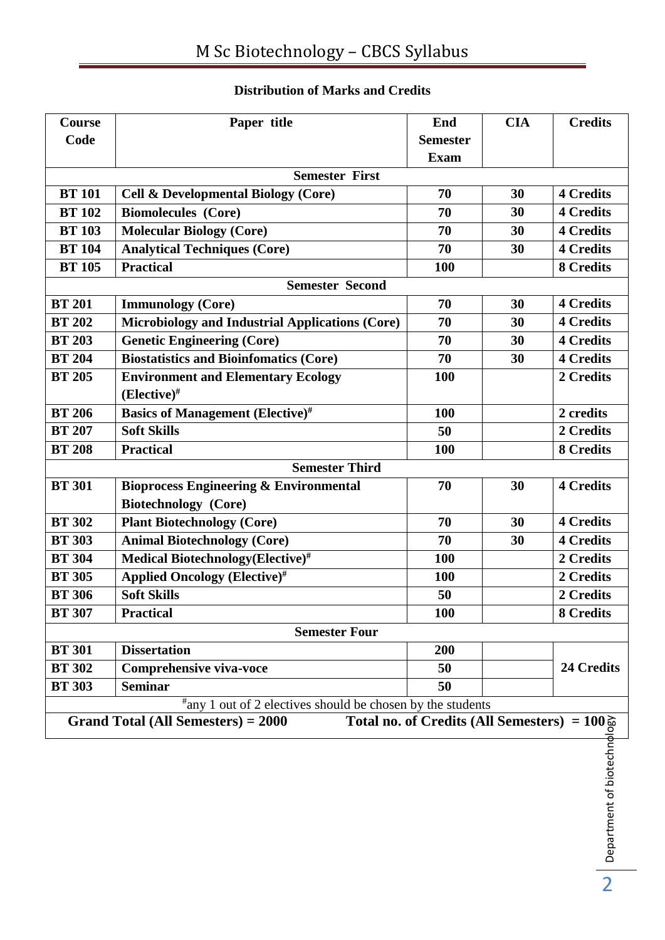## **Distribution of Marks and Credits**

| <b>Course</b>         | Paper title                                                            | End                                                                                                                                                                                                                                                                                                                               | <b>CIA</b> | <b>Credits</b>   |  |
|-----------------------|------------------------------------------------------------------------|-----------------------------------------------------------------------------------------------------------------------------------------------------------------------------------------------------------------------------------------------------------------------------------------------------------------------------------|------------|------------------|--|
| Code                  |                                                                        | <b>Semester</b>                                                                                                                                                                                                                                                                                                                   |            |                  |  |
|                       |                                                                        | <b>Exam</b>                                                                                                                                                                                                                                                                                                                       |            |                  |  |
|                       | <b>Semester First</b>                                                  |                                                                                                                                                                                                                                                                                                                                   |            |                  |  |
| <b>BT</b> 101         | <b>Cell &amp; Developmental Biology (Core)</b>                         | 70                                                                                                                                                                                                                                                                                                                                | 30         | <b>4 Credits</b> |  |
| <b>BT 102</b>         | <b>Biomolecules</b> (Core)                                             | 70                                                                                                                                                                                                                                                                                                                                | 30         | <b>4 Credits</b> |  |
| <b>BT 103</b>         | <b>Molecular Biology (Core)</b>                                        | 70                                                                                                                                                                                                                                                                                                                                | 30         | <b>4 Credits</b> |  |
| <b>BT</b> 104         | <b>Analytical Techniques (Core)</b>                                    | 70                                                                                                                                                                                                                                                                                                                                | 30         | <b>4 Credits</b> |  |
| <b>BT</b> 105         | <b>Practical</b>                                                       | 100                                                                                                                                                                                                                                                                                                                               |            | <b>8 Credits</b> |  |
|                       | <b>Semester Second</b>                                                 |                                                                                                                                                                                                                                                                                                                                   |            |                  |  |
| <b>BT 201</b>         | <b>Immunology</b> (Core)                                               | 70                                                                                                                                                                                                                                                                                                                                | 30         | <b>4 Credits</b> |  |
| <b>BT 202</b>         | <b>Microbiology and Industrial Applications (Core)</b>                 | 70                                                                                                                                                                                                                                                                                                                                | 30         | <b>4 Credits</b> |  |
| <b>BT 203</b>         | <b>Genetic Engineering (Core)</b>                                      | 70                                                                                                                                                                                                                                                                                                                                | 30         | <b>4 Credits</b> |  |
| <b>BT 204</b>         | <b>Biostatistics and Bioinfomatics (Core)</b>                          | 70                                                                                                                                                                                                                                                                                                                                | 30         | <b>4 Credits</b> |  |
| <b>BT 205</b>         | <b>Environment and Elementary Ecology</b>                              | 100                                                                                                                                                                                                                                                                                                                               |            | 2 Credits        |  |
|                       | $(Elective)^{\#}$                                                      |                                                                                                                                                                                                                                                                                                                                   |            |                  |  |
| <b>BT 206</b>         | <b>Basics of Management (Elective)</b> #                               | 100                                                                                                                                                                                                                                                                                                                               |            | 2 credits        |  |
| <b>BT 207</b>         | <b>Soft Skills</b>                                                     | 50                                                                                                                                                                                                                                                                                                                                |            | 2 Credits        |  |
| <b>BT 208</b>         | <b>Practical</b>                                                       | 100                                                                                                                                                                                                                                                                                                                               |            | <b>8 Credits</b> |  |
| <b>Semester Third</b> |                                                                        |                                                                                                                                                                                                                                                                                                                                   |            |                  |  |
| <b>BT 301</b>         | <b>Bioprocess Engineering &amp; Environmental</b>                      | 70                                                                                                                                                                                                                                                                                                                                | 30         | <b>4 Credits</b> |  |
|                       | <b>Biotechnology</b> (Core)                                            |                                                                                                                                                                                                                                                                                                                                   |            |                  |  |
| <b>BT 302</b>         | <b>Plant Biotechnology (Core)</b>                                      | 70                                                                                                                                                                                                                                                                                                                                | 30         | <b>4 Credits</b> |  |
| <b>BT 303</b>         | <b>Animal Biotechnology (Core)</b>                                     | 70                                                                                                                                                                                                                                                                                                                                | 30         | <b>4 Credits</b> |  |
| <b>BT 304</b>         | Medical Biotechnology(Elective)#                                       | 100                                                                                                                                                                                                                                                                                                                               |            | 2 Credits        |  |
| <b>BT 305</b>         | <b>Applied Oncology (Elective)#</b>                                    | <b>100</b>                                                                                                                                                                                                                                                                                                                        |            | 2 Credits        |  |
| <b>BT 306</b>         | <b>Soft Skills</b>                                                     | 50                                                                                                                                                                                                                                                                                                                                |            | 2 Credits        |  |
| <b>BT 307</b>         | <b>Practical</b>                                                       | 100                                                                                                                                                                                                                                                                                                                               |            | 8 Credits        |  |
|                       | <b>Semester Four</b>                                                   |                                                                                                                                                                                                                                                                                                                                   |            |                  |  |
| <b>BT 301</b>         | <b>Dissertation</b>                                                    | 200                                                                                                                                                                                                                                                                                                                               |            |                  |  |
| <b>BT 302</b>         | <b>Comprehensive viva-voce</b>                                         | 50                                                                                                                                                                                                                                                                                                                                |            | 24 Credits       |  |
| <b>BT 303</b>         | <b>Seminar</b>                                                         | 50                                                                                                                                                                                                                                                                                                                                |            |                  |  |
|                       | <sup>#</sup> any 1 out of 2 electives should be chosen by the students |                                                                                                                                                                                                                                                                                                                                   |            |                  |  |
|                       | <b>Grand Total (All Semesters) = 2000</b>                              |                                                                                                                                                                                                                                                                                                                                   |            |                  |  |
|                       |                                                                        |                                                                                                                                                                                                                                                                                                                                   |            |                  |  |
|                       |                                                                        |                                                                                                                                                                                                                                                                                                                                   |            |                  |  |
|                       |                                                                        |                                                                                                                                                                                                                                                                                                                                   |            |                  |  |
|                       |                                                                        |                                                                                                                                                                                                                                                                                                                                   |            |                  |  |
|                       |                                                                        |                                                                                                                                                                                                                                                                                                                                   |            |                  |  |
|                       |                                                                        |                                                                                                                                                                                                                                                                                                                                   |            |                  |  |
|                       |                                                                        | Total no. of Credits (All Semesters) = $100\frac{5}{9}$<br>$\frac{2}{9}$<br>$\frac{2}{9}$<br>$\frac{1}{9}$<br>$\frac{1}{9}$<br>$\frac{1}{9}$<br>$\frac{1}{9}$<br>$\frac{1}{9}$<br>$\frac{1}{9}$<br>$\frac{1}{9}$<br>$\frac{1}{9}$<br>$\frac{1}{9}$<br>$\frac{1}{9}$<br>$\frac{1}{9}$<br>$\frac{1}{9}$<br>$\frac{1}{9}$<br>$\frac$ |            |                  |  |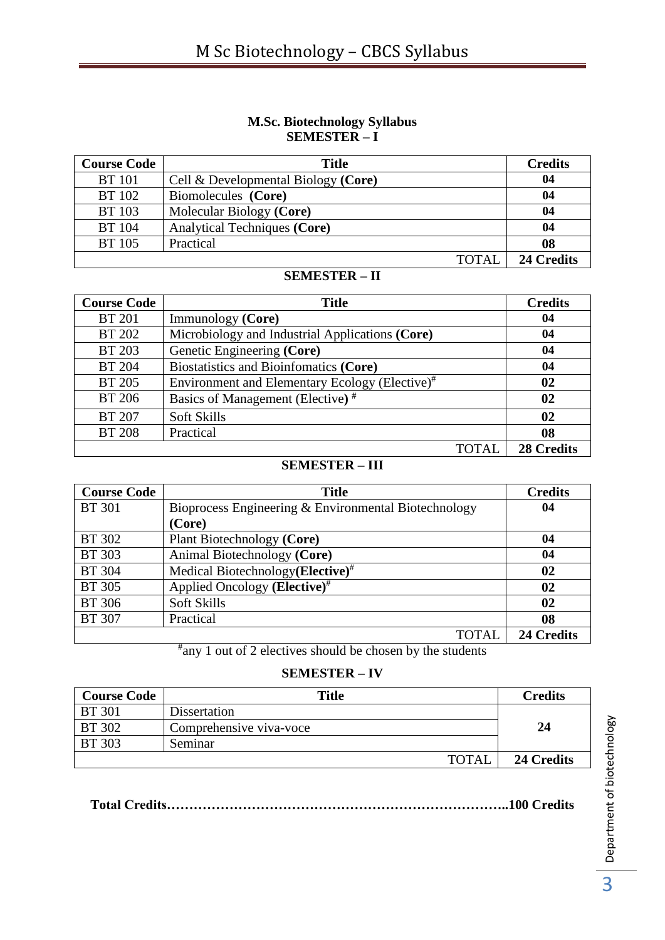## **M.Sc. Biotechnology Syllabus SEMESTER – I**

| <b>Course Code</b> | <b>Title</b>                           | <b>Credits</b> |
|--------------------|----------------------------------------|----------------|
| <b>BT</b> 101      | Cell $\&$ Developmental Biology (Core) | 04             |
| <b>BT</b> 102      | Biomolecules (Core)                    | 04             |
| <b>BT</b> 103      | Molecular Biology (Core)               | 04             |
| <b>BT</b> 104      | Analytical Techniques (Core)           | 04             |
| <b>BT</b> 105      | Practical                              | 08             |
|                    | TOTAL                                  | 24 Credits     |

## **SEMESTER – II**

| <b>Course Code</b> | <b>Title</b>                                               | <b>Credits</b>    |
|--------------------|------------------------------------------------------------|-------------------|
| <b>BT 201</b>      | Immunology (Core)                                          | 04                |
| <b>BT 202</b>      | Microbiology and Industrial Applications (Core)            | 04                |
| <b>BT 203</b>      | Genetic Engineering (Core)                                 | 04                |
| <b>BT 204</b>      | Biostatistics and Bioinfomatics (Core)                     | 04                |
| <b>BT 205</b>      | Environment and Elementary Ecology (Elective) <sup>#</sup> | 02                |
| <b>BT 206</b>      | Basics of Management (Elective) <sup>#</sup>               | 02                |
| <b>BT 207</b>      | Soft Skills                                                | $\mathbf{02}$     |
| <b>BT 208</b>      | Practical                                                  | 08                |
|                    | <b>TOTAL</b>                                               | <b>28 Credits</b> |

## **SEMESTER – III**

| <b>Course Code</b> | <b>Title</b>                                         | <b>Credits</b> |
|--------------------|------------------------------------------------------|----------------|
| <b>BT</b> 301      | Bioprocess Engineering & Environmental Biotechnology | 04             |
|                    | (Core)                                               |                |
| <b>BT</b> 302      | Plant Biotechnology (Core)                           | 04             |
| <b>BT</b> 303      | Animal Biotechnology (Core)                          | 04             |
| <b>BT</b> 304      | Medical Biotechnology(Elective) <sup>#</sup>         | 02             |
| <b>BT</b> 305      | Applied Oncology (Elective) <sup>#</sup>             | 02             |
| <b>BT</b> 306      | Soft Skills                                          | 02             |
| <b>BT 307</b>      | Practical                                            | 08             |
|                    | <b>TOTAL</b>                                         | 24 Credits     |

# any 1 out of 2 electives should be chosen by the students

## **SEMESTER – IV**

| <b>Course Code</b> | <b>Title</b>            | <b>Credits</b> |
|--------------------|-------------------------|----------------|
| <b>BT</b> 301      | Dissertation            |                |
| <b>BT</b> 302      | Comprehensive viva-voce | 24             |
| <b>BT</b> 303      | Seminar                 |                |
|                    | <b>TOTAL</b>            | 24 Credits     |

**Total Credits…………………………………………………………………..100 Credits**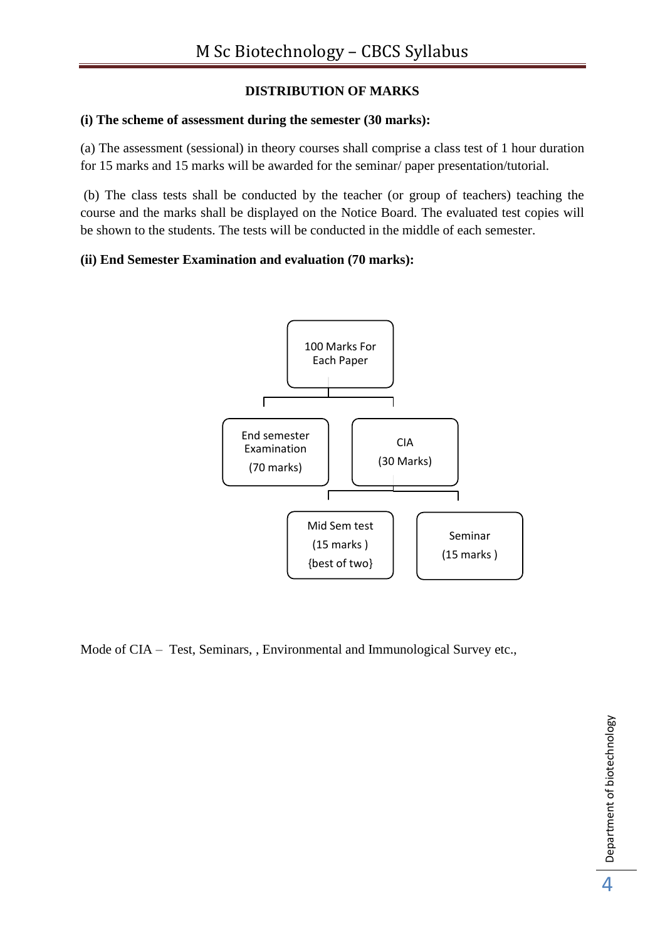## **DISTRIBUTION OF MARKS**

## **(i) The scheme of assessment during the semester (30 marks):**

(a) The assessment (sessional) in theory courses shall comprise a class test of 1 hour duration for 15 marks and 15 marks will be awarded for the seminar/ paper presentation/tutorial.

(b) The class tests shall be conducted by the teacher (or group of teachers) teaching the course and the marks shall be displayed on the Notice Board. The evaluated test copies will be shown to the students. The tests will be conducted in the middle of each semester.

## **(ii) End Semester Examination and evaluation (70 marks):**



Mode of CIA – Test, Seminars, , Environmental and Immunological Survey etc.,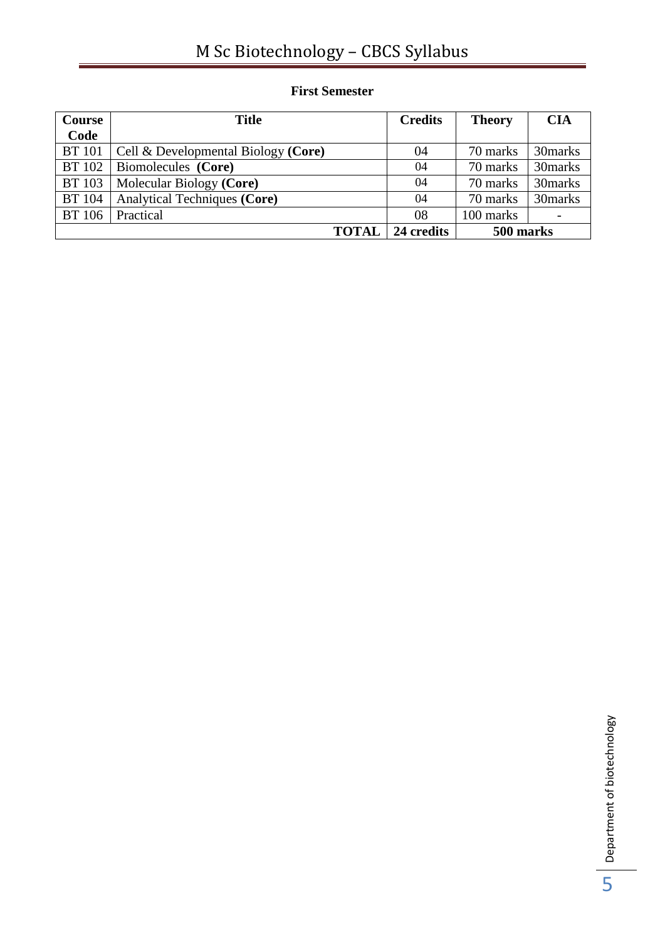# M Sc Biotechnology – CBCS Syllabus

| Course        | <b>Title</b>                           | <b>Credits</b> | <b>Theory</b> | <b>CIA</b> |
|---------------|----------------------------------------|----------------|---------------|------------|
| Code          |                                        |                |               |            |
| <b>BT</b> 101 | Cell $\&$ Developmental Biology (Core) | 04             | 70 marks      | 30 marks   |
| <b>BT</b> 102 | Biomolecules (Core)                    | 04             | 70 marks      | 30marks    |
| <b>BT</b> 103 | Molecular Biology (Core)               | 04             | 70 marks      | 30marks    |
| <b>BT</b> 104 | Analytical Techniques (Core)           | 04             | 70 marks      | 30marks    |
| <b>BT</b> 106 | Practical                              | 08             | 100 marks     |            |
|               | <b>TOTAL</b>                           | 24 credits     | 500 marks     |            |

## **First Semester**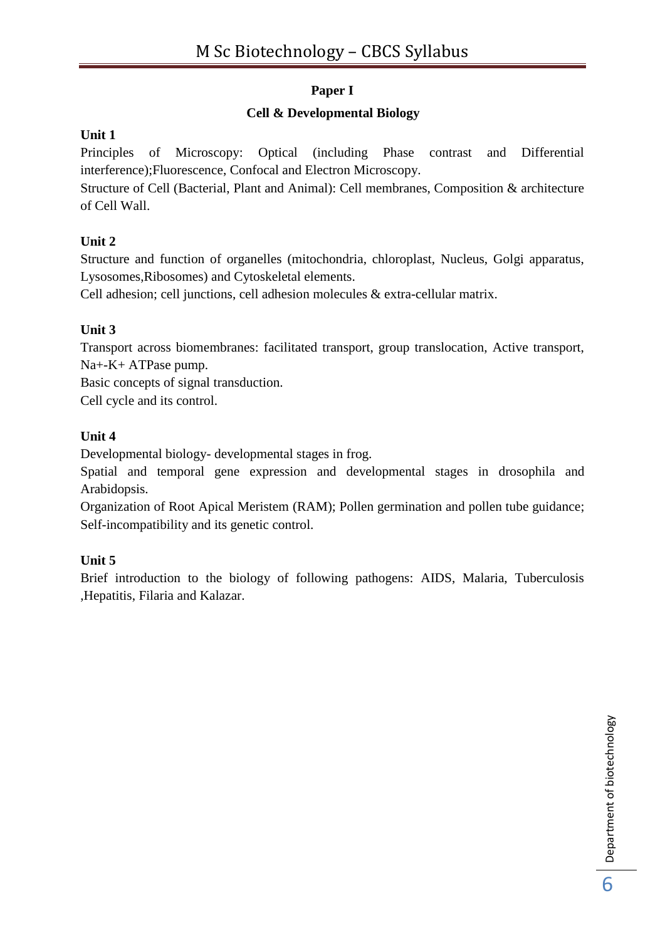## **Paper I**

## **Cell & Developmental Biology**

## **Unit 1**

Principles of Microscopy: Optical (including Phase contrast and Differential interference);Fluorescence, Confocal and Electron Microscopy.

Structure of Cell (Bacterial, Plant and Animal): Cell membranes, Composition & architecture of Cell Wall.

## **Unit 2**

Structure and function of organelles (mitochondria, chloroplast, Nucleus, Golgi apparatus, Lysosomes,Ribosomes) and Cytoskeletal elements.

Cell adhesion; cell junctions, cell adhesion molecules & extra-cellular matrix.

## **Unit 3**

Transport across biomembranes: facilitated transport, group translocation, Active transport, Na+-K+ ATPase pump.

Basic concepts of signal transduction.

Cell cycle and its control.

## **Unit 4**

Developmental biology- developmental stages in frog.

Spatial and temporal gene expression and developmental stages in drosophila and Arabidopsis.

Organization of Root Apical Meristem (RAM); Pollen germination and pollen tube guidance; Self-incompatibility and its genetic control.

## **Unit 5**

Brief introduction to the biology of following pathogens: AIDS, Malaria, Tuberculosis ,Hepatitis, Filaria and Kalazar.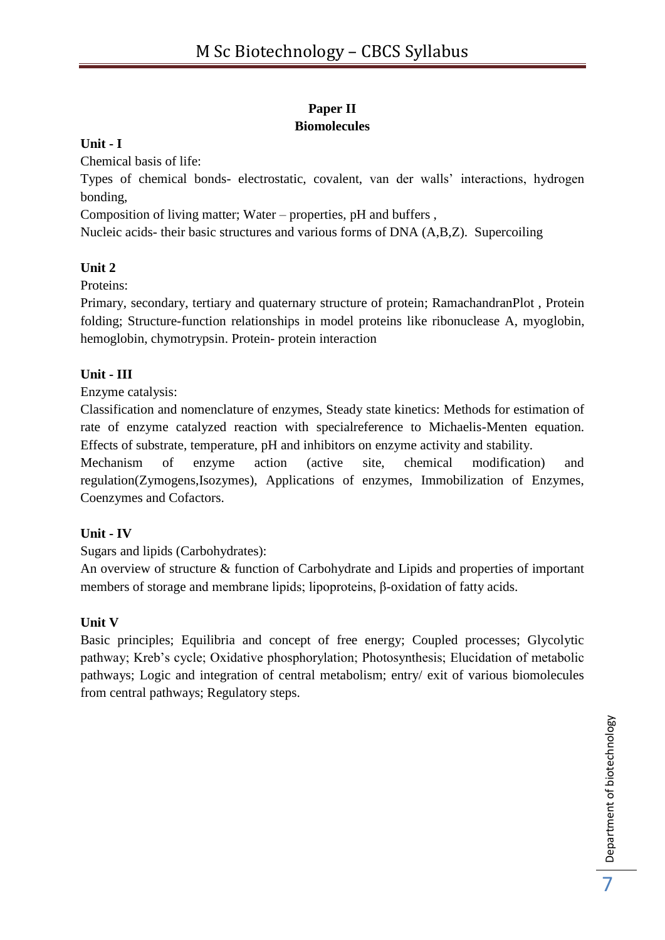## **Paper II Biomolecules**

## **Unit - I**

Chemical basis of life:

Types of chemical bonds- electrostatic, covalent, van der walls' interactions, hydrogen bonding,

Composition of living matter; Water – properties, pH and buffers ,

Nucleic acids- their basic structures and various forms of DNA (A,B,Z). Supercoiling

## **Unit 2**

Proteins:

Primary, secondary, tertiary and quaternary structure of protein; RamachandranPlot , Protein folding; Structure-function relationships in model proteins like ribonuclease A, myoglobin, hemoglobin, chymotrypsin. Protein- protein interaction

## **Unit - III**

Enzyme catalysis:

Classification and nomenclature of enzymes, Steady state kinetics: Methods for estimation of rate of enzyme catalyzed reaction with specialreference to Michaelis-Menten equation. Effects of substrate, temperature, pH and inhibitors on enzyme activity and stability.

Mechanism of enzyme action (active site, chemical modification) and regulation(Zymogens,Isozymes), Applications of enzymes, Immobilization of Enzymes, Coenzymes and Cofactors.

## **Unit - IV**

Sugars and lipids (Carbohydrates):

An overview of structure & function of Carbohydrate and Lipids and properties of important members of storage and membrane lipids; lipoproteins, β-oxidation of fatty acids.

## **Unit V**

Basic principles; Equilibria and concept of free energy; Coupled processes; Glycolytic pathway; Kreb's cycle; Oxidative phosphorylation; Photosynthesis; Elucidation of metabolic pathways; Logic and integration of central metabolism; entry/ exit of various biomolecules from central pathways; Regulatory steps.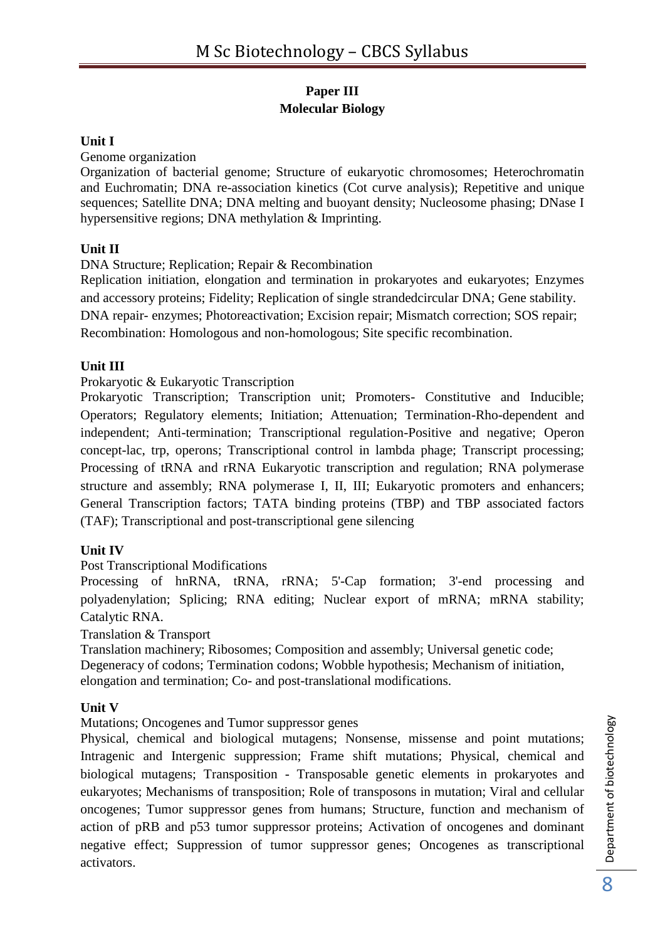## **Paper III Molecular Biology**

### **Unit I**

Genome organization

Organization of bacterial genome; Structure of eukaryotic chromosomes; Heterochromatin and Euchromatin; DNA re-association kinetics (Cot curve analysis); Repetitive and unique sequences; Satellite DNA; DNA melting and buoyant density; Nucleosome phasing; DNase I hypersensitive regions; DNA methylation & Imprinting.

## **Unit II**

DNA Structure; Replication; Repair & Recombination

Replication initiation, elongation and termination in prokaryotes and eukaryotes; Enzymes and accessory proteins; Fidelity; Replication of single strandedcircular DNA; Gene stability. DNA repair- enzymes; Photoreactivation; Excision repair; Mismatch correction; SOS repair; Recombination: Homologous and non-homologous; Site specific recombination.

#### **Unit III**

Prokaryotic & Eukaryotic Transcription

Prokaryotic Transcription; Transcription unit; Promoters- Constitutive and Inducible; Operators; Regulatory elements; Initiation; Attenuation; Termination-Rho-dependent and independent; Anti-termination; Transcriptional regulation-Positive and negative; Operon concept-lac, trp, operons; Transcriptional control in lambda phage; Transcript processing; Processing of tRNA and rRNA Eukaryotic transcription and regulation; RNA polymerase structure and assembly; RNA polymerase I, II, III; Eukaryotic promoters and enhancers; General Transcription factors; TATA binding proteins (TBP) and TBP associated factors (TAF); Transcriptional and post-transcriptional gene silencing

## **Unit IV**

Post Transcriptional Modifications

Processing of hnRNA, tRNA, rRNA; 5'-Cap formation; 3'-end processing and polyadenylation; Splicing; RNA editing; Nuclear export of mRNA; mRNA stability; Catalytic RNA.

Translation & Transport

Translation machinery; Ribosomes; Composition and assembly; Universal genetic code; Degeneracy of codons; Termination codons; Wobble hypothesis; Mechanism of initiation, elongation and termination; Co- and post-translational modifications.

#### **Unit V**

Mutations; Oncogenes and Tumor suppressor genes

Physical, chemical and biological mutagens; Nonsense, missense and point mutations; Intragenic and Intergenic suppression; Frame shift mutations; Physical, chemical and biological mutagens; Transposition - Transposable genetic elements in prokaryotes and eukaryotes; Mechanisms of transposition; Role of transposons in mutation; Viral and cellular oncogenes; Tumor suppressor genes from humans; Structure, function and mechanism of action of pRB and p53 tumor suppressor proteins; Activation of oncogenes and dominant negative effect; Suppression of tumor suppressor genes; Oncogenes as transcriptional activators.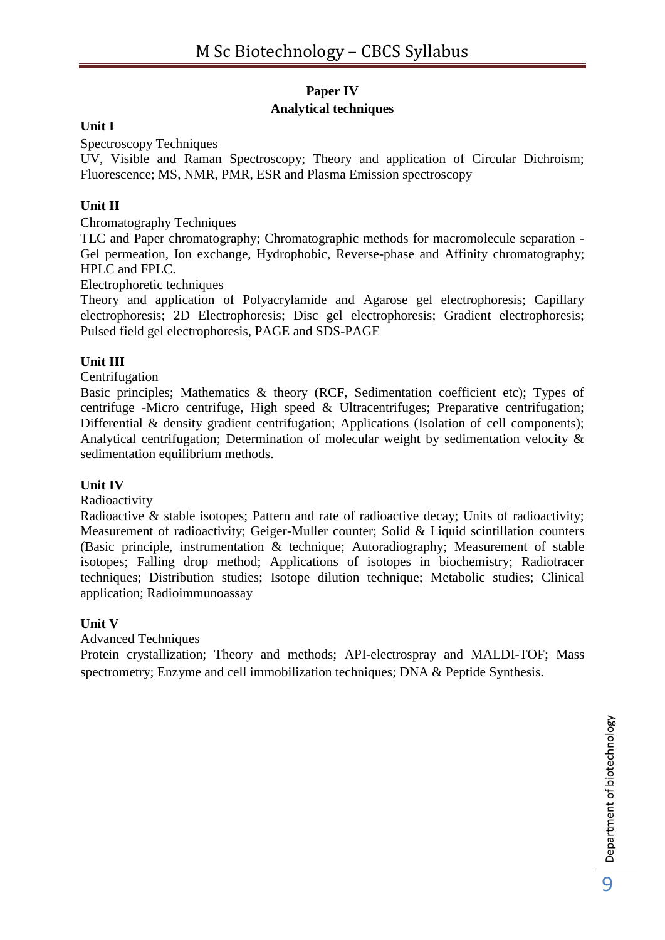## **Paper IV Analytical techniques**

## **Unit I**

Spectroscopy Techniques

UV, Visible and Raman Spectroscopy; Theory and application of Circular Dichroism; Fluorescence; MS, NMR, PMR, ESR and Plasma Emission spectroscopy

## **Unit II**

Chromatography Techniques

TLC and Paper chromatography; Chromatographic methods for macromolecule separation - Gel permeation, Ion exchange, Hydrophobic, Reverse-phase and Affinity chromatography; HPLC and FPLC.

Electrophoretic techniques

Theory and application of Polyacrylamide and Agarose gel electrophoresis; Capillary electrophoresis; 2D Electrophoresis; Disc gel electrophoresis; Gradient electrophoresis; Pulsed field gel electrophoresis, PAGE and SDS-PAGE

## **Unit III**

Centrifugation

Basic principles; Mathematics & theory (RCF, Sedimentation coefficient etc); Types of centrifuge -Micro centrifuge, High speed & Ultracentrifuges; Preparative centrifugation; Differential & density gradient centrifugation; Applications (Isolation of cell components); Analytical centrifugation; Determination of molecular weight by sedimentation velocity & sedimentation equilibrium methods.

#### **Unit IV**

Radioactivity

Radioactive & stable isotopes; Pattern and rate of radioactive decay; Units of radioactivity; Measurement of radioactivity; Geiger-Muller counter; Solid & Liquid scintillation counters (Basic principle, instrumentation & technique; Autoradiography; Measurement of stable isotopes; Falling drop method; Applications of isotopes in biochemistry; Radiotracer techniques; Distribution studies; Isotope dilution technique; Metabolic studies; Clinical application; Radioimmunoassay

#### **Unit V**

Advanced Techniques

Protein crystallization; Theory and methods; API-electrospray and MALDI-TOF; Mass spectrometry; Enzyme and cell immobilization techniques; DNA & Peptide Synthesis.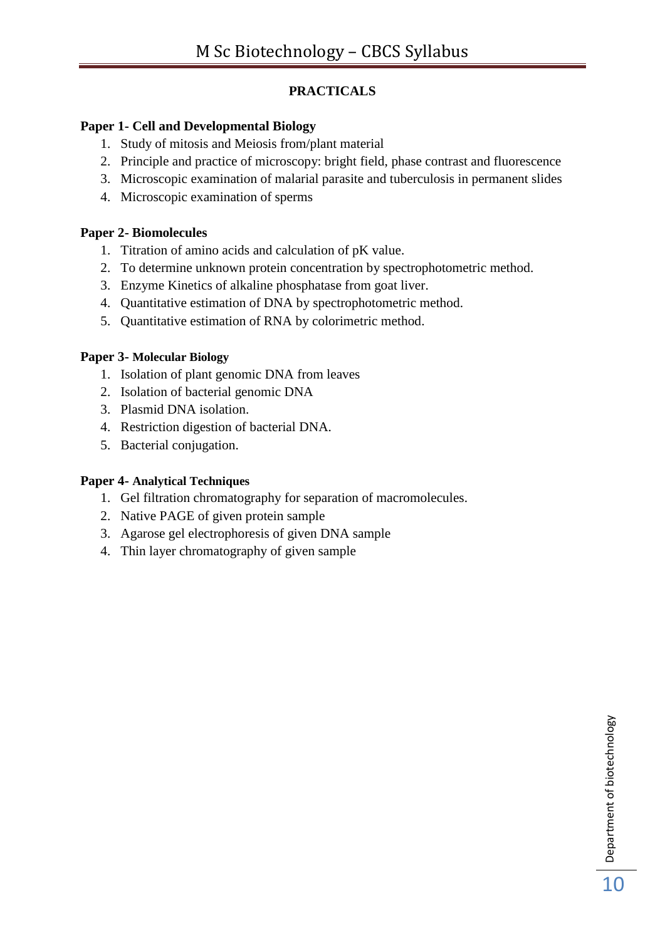## **PRACTICALS**

## **Paper 1- Cell and Developmental Biology**

- 1. Study of mitosis and Meiosis from/plant material
- 2. Principle and practice of microscopy: bright field, phase contrast and fluorescence
- 3. Microscopic examination of malarial parasite and tuberculosis in permanent slides
- 4. Microscopic examination of sperms

## **Paper 2- Biomolecules**

- 1. Titration of amino acids and calculation of pK value.
- 2. To determine unknown protein concentration by spectrophotometric method.
- 3. Enzyme Kinetics of alkaline phosphatase from goat liver.
- 4. Quantitative estimation of DNA by spectrophotometric method.
- 5. Quantitative estimation of RNA by colorimetric method.

## **Paper 3- Molecular Biology**

- 1. Isolation of plant genomic DNA from leaves
- 2. Isolation of bacterial genomic DNA
- 3. Plasmid DNA isolation.
- 4. Restriction digestion of bacterial DNA.
- 5. Bacterial conjugation.

## **Paper 4- Analytical Techniques**

- 1. Gel filtration chromatography for separation of macromolecules.
- 2. Native PAGE of given protein sample
- 3. Agarose gel electrophoresis of given DNA sample
- 4. Thin layer chromatography of given sample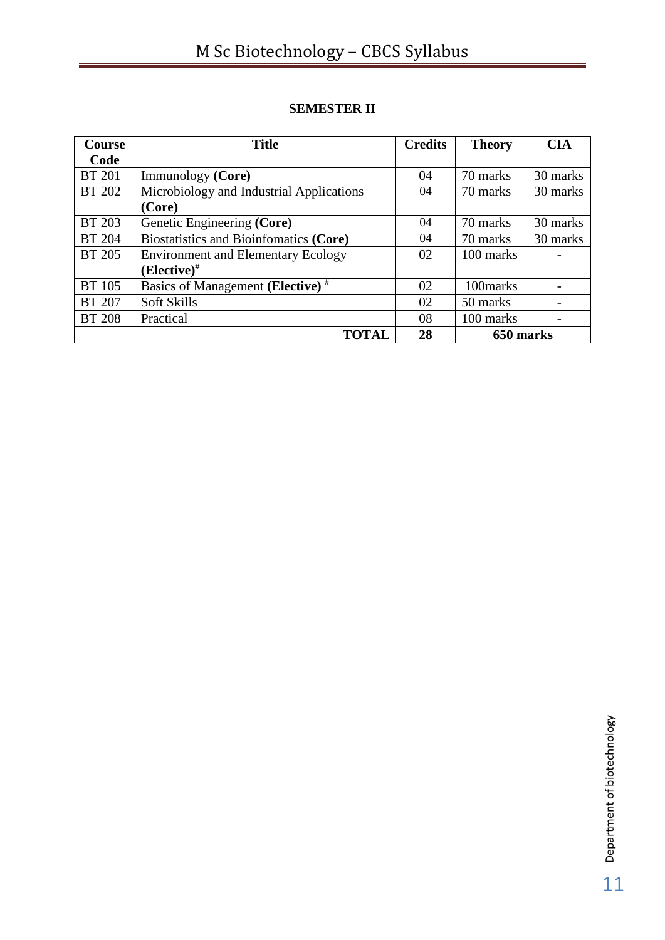## **SEMESTER II**

| <b>Course</b> | <b>Title</b>                                 | <b>Credits</b> | <b>Theory</b> | <b>CIA</b> |
|---------------|----------------------------------------------|----------------|---------------|------------|
| Code          |                                              |                |               |            |
| <b>BT 201</b> | Immunology (Core)                            | 04             | 70 marks      | 30 marks   |
| <b>BT 202</b> | Microbiology and Industrial Applications     | 04             | 70 marks      | 30 marks   |
|               | (Core)                                       |                |               |            |
| <b>BT 203</b> | Genetic Engineering (Core)                   | 04             | 70 marks      | 30 marks   |
| <b>BT 204</b> | Biostatistics and Bioinfomatics (Core)       | 04             | 70 marks      | 30 marks   |
| <b>BT</b> 205 | <b>Environment and Elementary Ecology</b>    | 02             | 100 marks     |            |
|               | $(Elective)^{#}$                             |                |               |            |
| <b>BT</b> 105 | Basics of Management (Elective) <sup>#</sup> | 02             | 100marks      |            |
| <b>BT 207</b> | <b>Soft Skills</b>                           | 02             | 50 marks      |            |
| <b>BT 208</b> | Practical                                    | 08             | 100 marks     |            |
|               | <b>TOTAL</b>                                 | 28             | 650 marks     |            |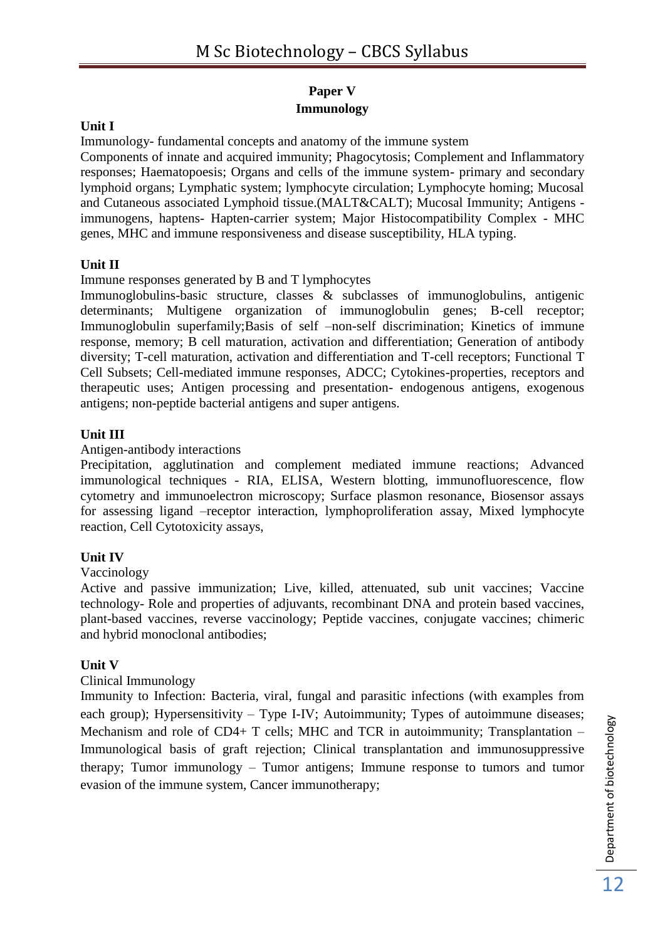## **Paper V Immunology**

### **Unit I**

Immunology- fundamental concepts and anatomy of the immune system Components of innate and acquired immunity; Phagocytosis; Complement and Inflammatory responses; Haematopoesis; Organs and cells of the immune system- primary and secondary lymphoid organs; Lymphatic system; lymphocyte circulation; Lymphocyte homing; Mucosal and Cutaneous associated Lymphoid tissue.(MALT&CALT); Mucosal Immunity; Antigens immunogens, haptens- Hapten-carrier system; Major Histocompatibility Complex - MHC genes, MHC and immune responsiveness and disease susceptibility, HLA typing.

#### **Unit II**

Immune responses generated by B and T lymphocytes

Immunoglobulins-basic structure, classes & subclasses of immunoglobulins, antigenic determinants; Multigene organization of immunoglobulin genes; B-cell receptor; Immunoglobulin superfamily;Basis of self –non-self discrimination; Kinetics of immune response, memory; B cell maturation, activation and differentiation; Generation of antibody diversity; T-cell maturation, activation and differentiation and T-cell receptors; Functional T Cell Subsets; Cell-mediated immune responses, ADCC; Cytokines-properties, receptors and therapeutic uses; Antigen processing and presentation- endogenous antigens, exogenous antigens; non-peptide bacterial antigens and super antigens.

#### **Unit III**

Antigen-antibody interactions

Precipitation, agglutination and complement mediated immune reactions; Advanced immunological techniques - RIA, ELISA, Western blotting, immunofluorescence, flow cytometry and immunoelectron microscopy; Surface plasmon resonance, Biosensor assays for assessing ligand –receptor interaction, lymphoproliferation assay, Mixed lymphocyte reaction, Cell Cytotoxicity assays,

## **Unit IV**

#### Vaccinology

Active and passive immunization; Live, killed, attenuated, sub unit vaccines; Vaccine technology- Role and properties of adjuvants, recombinant DNA and protein based vaccines, plant-based vaccines, reverse vaccinology; Peptide vaccines, conjugate vaccines; chimeric and hybrid monoclonal antibodies;

#### **Unit V**

#### Clinical Immunology

Immunity to Infection: Bacteria, viral, fungal and parasitic infections (with examples from each group); Hypersensitivity – Type I-IV; Autoimmunity; Types of autoimmune diseases; Mechanism and role of CD4+ T cells; MHC and TCR in autoimmunity; Transplantation – Immunological basis of graft rejection; Clinical transplantation and immunosuppressive therapy; Tumor immunology – Tumor antigens; Immune response to tumors and tumor evasion of the immune system, Cancer immunotherapy;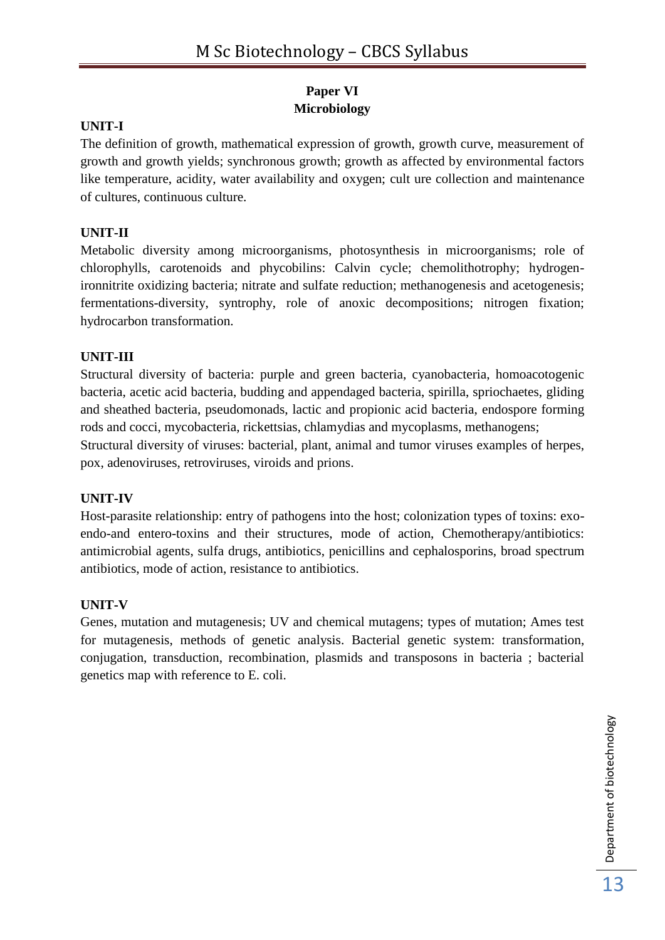## **Paper VI Microbiology**

## **UNIT-I**

The definition of growth, mathematical expression of growth, growth curve, measurement of growth and growth yields; synchronous growth; growth as affected by environmental factors like temperature, acidity, water availability and oxygen; cult ure collection and maintenance of cultures, continuous culture.

## **UNIT-II**

Metabolic diversity among microorganisms, photosynthesis in microorganisms; role of chlorophylls, carotenoids and phycobilins: Calvin cycle; chemolithotrophy; hydrogenironnitrite oxidizing bacteria; nitrate and sulfate reduction; methanogenesis and acetogenesis; fermentations-diversity, syntrophy, role of anoxic decompositions; nitrogen fixation; hydrocarbon transformation.

## **UNIT-III**

Structural diversity of bacteria: purple and green bacteria, cyanobacteria, homoacotogenic bacteria, acetic acid bacteria, budding and appendaged bacteria, spirilla, spriochaetes, gliding and sheathed bacteria, pseudomonads, lactic and propionic acid bacteria, endospore forming rods and cocci, mycobacteria, rickettsias, chlamydias and mycoplasms, methanogens; Structural diversity of viruses: bacterial, plant, animal and tumor viruses examples of herpes, pox, adenoviruses, retroviruses, viroids and prions.

## **UNIT-IV**

Host-parasite relationship: entry of pathogens into the host; colonization types of toxins: exoendo-and entero-toxins and their structures, mode of action, Chemotherapy/antibiotics: antimicrobial agents, sulfa drugs, antibiotics, penicillins and cephalosporins, broad spectrum antibiotics, mode of action, resistance to antibiotics.

## **UNIT-V**

Genes, mutation and mutagenesis; UV and chemical mutagens; types of mutation; Ames test for mutagenesis, methods of genetic analysis. Bacterial genetic system: transformation, conjugation, transduction, recombination, plasmids and transposons in bacteria ; bacterial genetics map with reference to E. coli.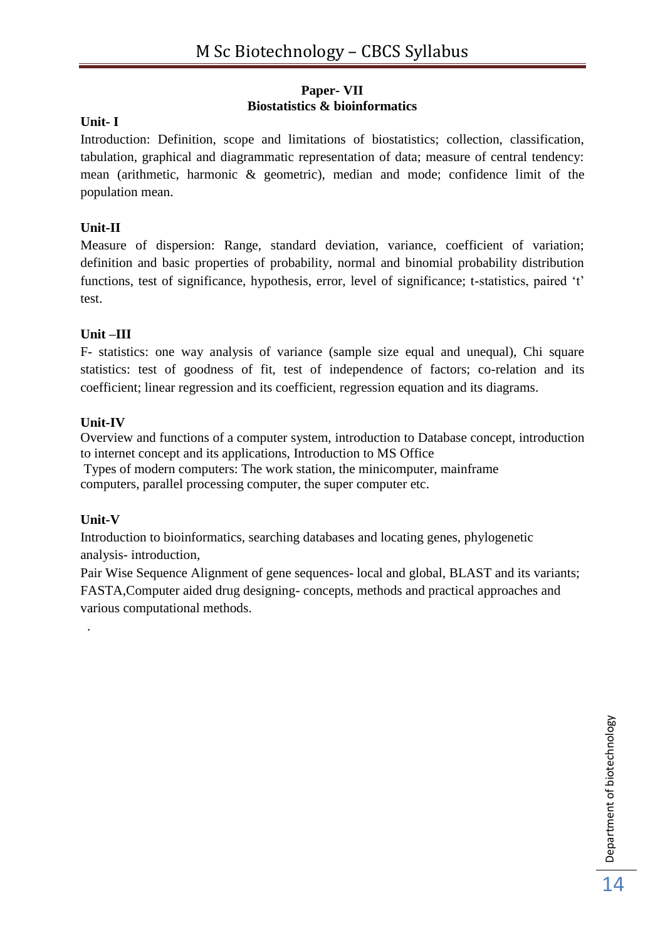## **Paper- VII Biostatistics & bioinformatics**

## **Unit- I**

Introduction: Definition, scope and limitations of biostatistics; collection, classification, tabulation, graphical and diagrammatic representation of data; measure of central tendency: mean (arithmetic, harmonic & geometric), median and mode; confidence limit of the population mean.

## **Unit-II**

Measure of dispersion: Range, standard deviation, variance, coefficient of variation; definition and basic properties of probability, normal and binomial probability distribution functions, test of significance, hypothesis, error, level of significance; t-statistics, paired 't' test.

## **Unit –III**

F- statistics: one way analysis of variance (sample size equal and unequal), Chi square statistics: test of goodness of fit, test of independence of factors; co-relation and its coefficient; linear regression and its coefficient, regression equation and its diagrams.

## **Unit-IV**

Overview and functions of a computer system, introduction to Database concept, introduction to internet concept and its applications, Introduction to MS Office

Types of modern computers: The work station, the minicomputer, mainframe computers, parallel processing computer, the super computer etc.

## **Unit-V**

.

Introduction to bioinformatics, searching databases and locating genes, phylogenetic analysis- introduction,

Pair Wise Sequence Alignment of gene sequences- local and global, BLAST and its variants; FASTA,Computer aided drug designing- concepts, methods and practical approaches and various computational methods.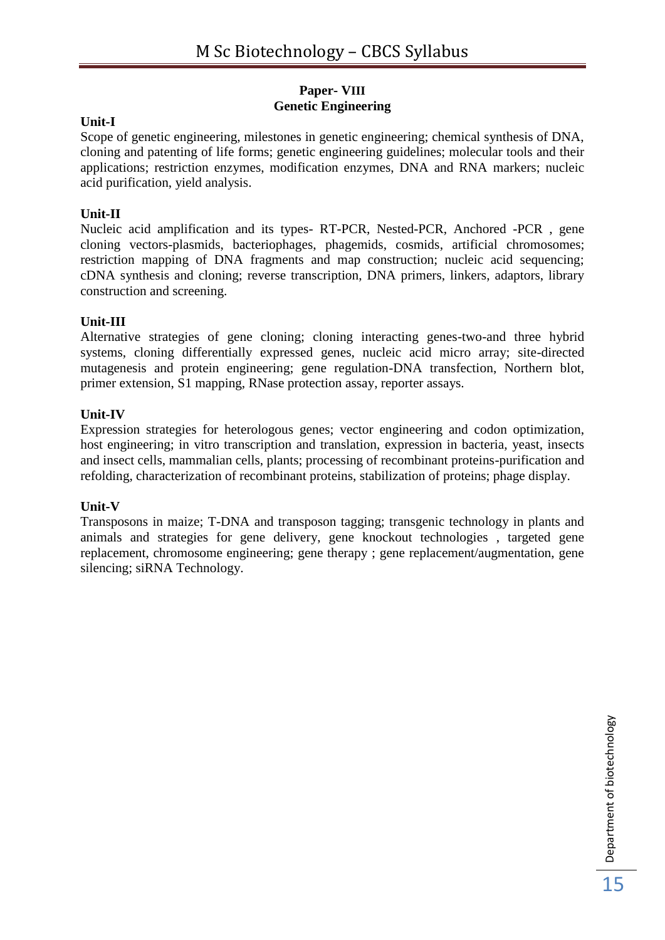## **Paper- VIII Genetic Engineering**

## **Unit-I**

Scope of genetic engineering, milestones in genetic engineering; chemical synthesis of DNA, cloning and patenting of life forms; genetic engineering guidelines; molecular tools and their applications; restriction enzymes, modification enzymes, DNA and RNA markers; nucleic acid purification, yield analysis.

## **Unit-II**

Nucleic acid amplification and its types- RT-PCR, Nested-PCR, Anchored -PCR , gene cloning vectors-plasmids, bacteriophages, phagemids, cosmids, artificial chromosomes; restriction mapping of DNA fragments and map construction; nucleic acid sequencing; cDNA synthesis and cloning; reverse transcription, DNA primers, linkers, adaptors, library construction and screening.

## **Unit-III**

Alternative strategies of gene cloning; cloning interacting genes-two-and three hybrid systems, cloning differentially expressed genes, nucleic acid micro array; site-directed mutagenesis and protein engineering; gene regulation-DNA transfection, Northern blot, primer extension, S1 mapping, RNase protection assay, reporter assays.

## **Unit-IV**

Expression strategies for heterologous genes; vector engineering and codon optimization, host engineering; in vitro transcription and translation, expression in bacteria, yeast, insects and insect cells, mammalian cells, plants; processing of recombinant proteins-purification and refolding, characterization of recombinant proteins, stabilization of proteins; phage display.

## **Unit-V**

Transposons in maize; T-DNA and transposon tagging; transgenic technology in plants and animals and strategies for gene delivery, gene knockout technologies , targeted gene replacement, chromosome engineering; gene therapy ; gene replacement/augmentation, gene silencing; siRNA Technology.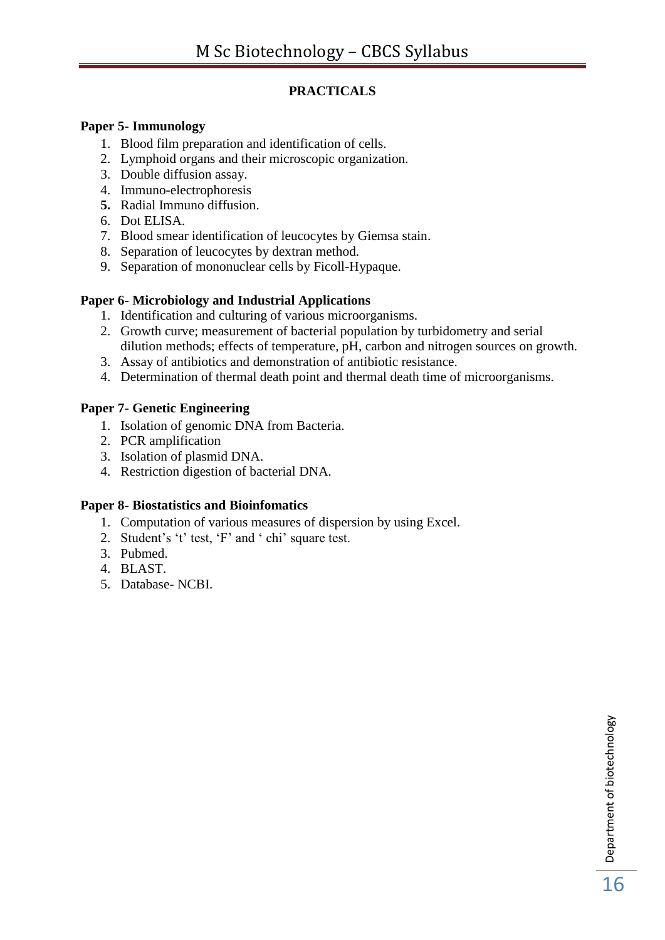## **PRACTICALS**

## **Paper 5- Immunology**

- 1. Blood film preparation and identification of cells.
- 2. Lymphoid organs and their microscopic organization.
- 3. Double diffusion assay.
- 4. Immuno-electrophoresis
- **5.** Radial Immuno diffusion.
- 6. Dot ELISA.
- 7. Blood smear identification of leucocytes by Giemsa stain.
- 8. Separation of leucocytes by dextran method.
- 9. Separation of mononuclear cells by Ficoll-Hypaque.

## **Paper 6- Microbiology and Industrial Applications**

- 1. Identification and culturing of various microorganisms.
- 2. Growth curve; measurement of bacterial population by turbidometry and serial dilution methods; effects of temperature, pH, carbon and nitrogen sources on growth.
- 3. Assay of antibiotics and demonstration of antibiotic resistance.
- 4. Determination of thermal death point and thermal death time of microorganisms.

## **Paper 7- Genetic Engineering**

- 1. Isolation of genomic DNA from Bacteria.
- 2. PCR amplification
- 3. Isolation of plasmid DNA.
- 4. Restriction digestion of bacterial DNA.

## **Paper 8- Biostatistics and Bioinfomatics**

- 1. Computation of various measures of dispersion by using Excel.
- 2. Student's 't' test, 'F' and ' chi' square test.
- 3. Pubmed.
- 4. BLAST.
- 5. Database- NCBI.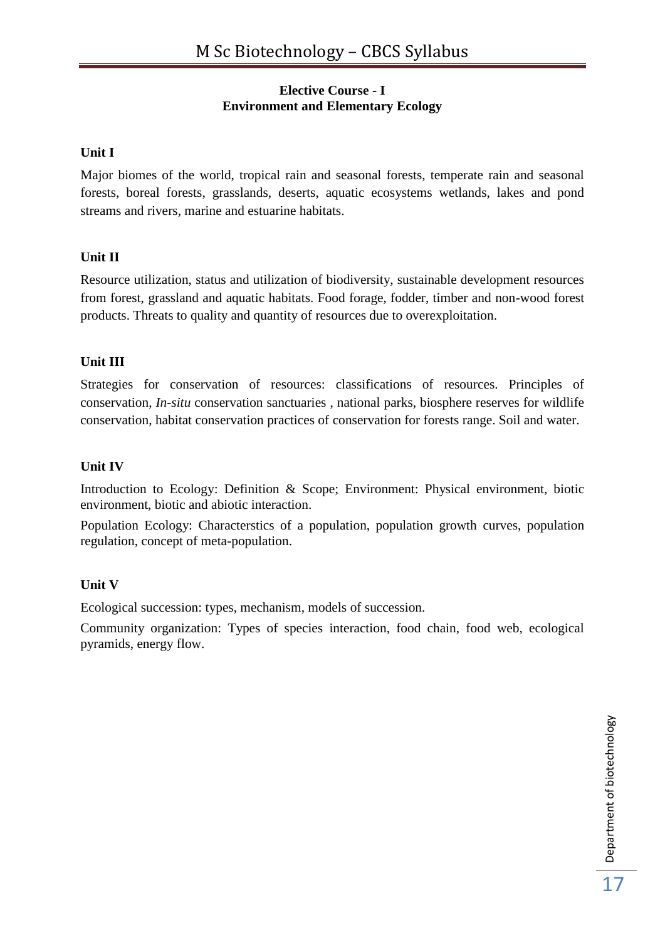## **Elective Course - I Environment and Elementary Ecology**

## **Unit I**

Major biomes of the world, tropical rain and seasonal forests, temperate rain and seasonal forests, boreal forests, grasslands, deserts, aquatic ecosystems wetlands, lakes and pond streams and rivers, marine and estuarine habitats.

## **Unit II**

Resource utilization, status and utilization of biodiversity, sustainable development resources from forest, grassland and aquatic habitats. Food forage, fodder, timber and non-wood forest products. Threats to quality and quantity of resources due to overexploitation.

## **Unit III**

Strategies for conservation of resources: classifications of resources. Principles of conservation, *In-situ* conservation sanctuaries , national parks, biosphere reserves for wildlife conservation, habitat conservation practices of conservation for forests range. Soil and water.

## **Unit IV**

Introduction to Ecology: Definition & Scope; Environment: Physical environment, biotic environment, biotic and abiotic interaction.

Population Ecology: Characterstics of a population, population growth curves, population regulation, concept of meta-population.

## **Unit V**

Ecological succession: types, mechanism, models of succession.

Community organization: Types of species interaction, food chain, food web, ecological pyramids, energy flow.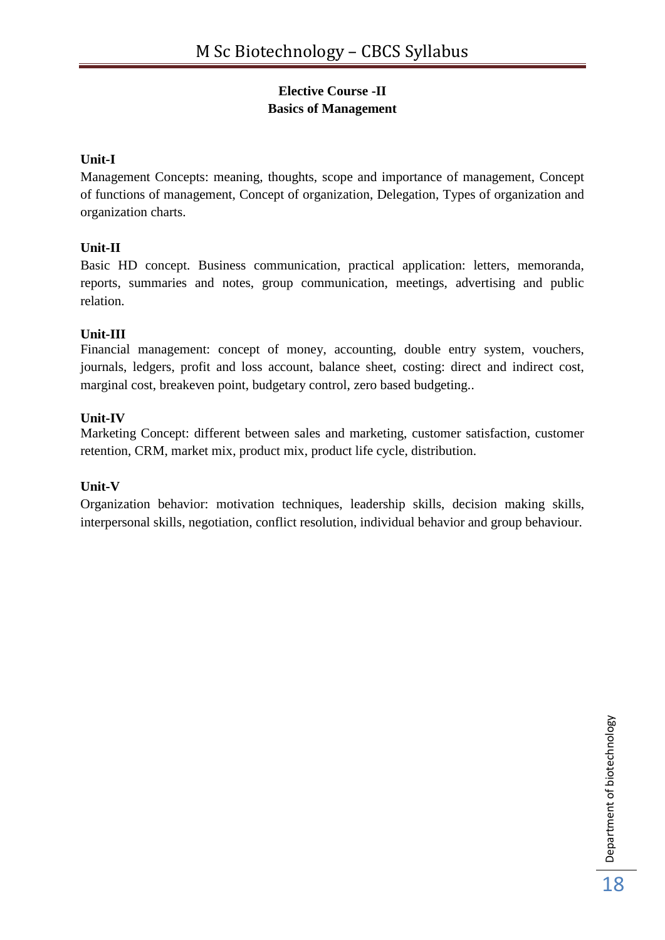## **Elective Course -II Basics of Management**

## **Unit-I**

Management Concepts: meaning, thoughts, scope and importance of management, Concept of functions of management, Concept of organization, Delegation, Types of organization and organization charts.

## **Unit-II**

Basic HD concept. Business communication, practical application: letters, memoranda, reports, summaries and notes, group communication, meetings, advertising and public relation.

## **Unit-III**

Financial management: concept of money, accounting, double entry system, vouchers, journals, ledgers, profit and loss account, balance sheet, costing: direct and indirect cost, marginal cost, breakeven point, budgetary control, zero based budgeting..

## **Unit-IV**

Marketing Concept: different between sales and marketing, customer satisfaction, customer retention, CRM, market mix, product mix, product life cycle, distribution.

## **Unit-V**

Organization behavior: motivation techniques, leadership skills, decision making skills, interpersonal skills, negotiation, conflict resolution, individual behavior and group behaviour.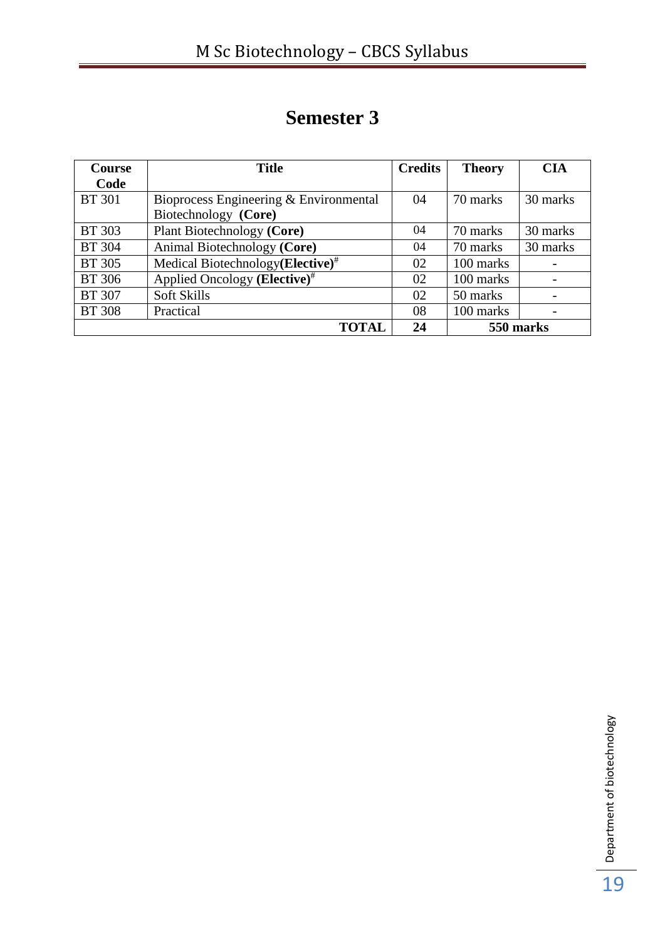# **Semester 3**

| <b>Course</b> | <b>Title</b>                                  | <b>Credits</b> | <b>Theory</b> | <b>CIA</b> |
|---------------|-----------------------------------------------|----------------|---------------|------------|
| Code          |                                               |                |               |            |
| <b>BT</b> 301 | Bioprocess Engineering & Environmental        | 04             | 70 marks      | 30 marks   |
|               | Biotechnology (Core)                          |                |               |            |
| <b>BT 303</b> | Plant Biotechnology (Core)                    | 04             | 70 marks      | 30 marks   |
| <b>BT 304</b> | Animal Biotechnology (Core)                   | 04             | 70 marks      | 30 marks   |
| <b>BT 305</b> | Medical Biotechnology (Elective) <sup>#</sup> | 02             | 100 marks     |            |
| <b>BT</b> 306 | Applied Oncology (Elective) <sup>#</sup>      | 02             | 100 marks     |            |
| <b>BT 307</b> | <b>Soft Skills</b>                            | 02             | 50 marks      |            |
| <b>BT 308</b> | Practical                                     | 08             | 100 marks     |            |
|               | <b>TOTAL</b>                                  | 24             |               | 550 marks  |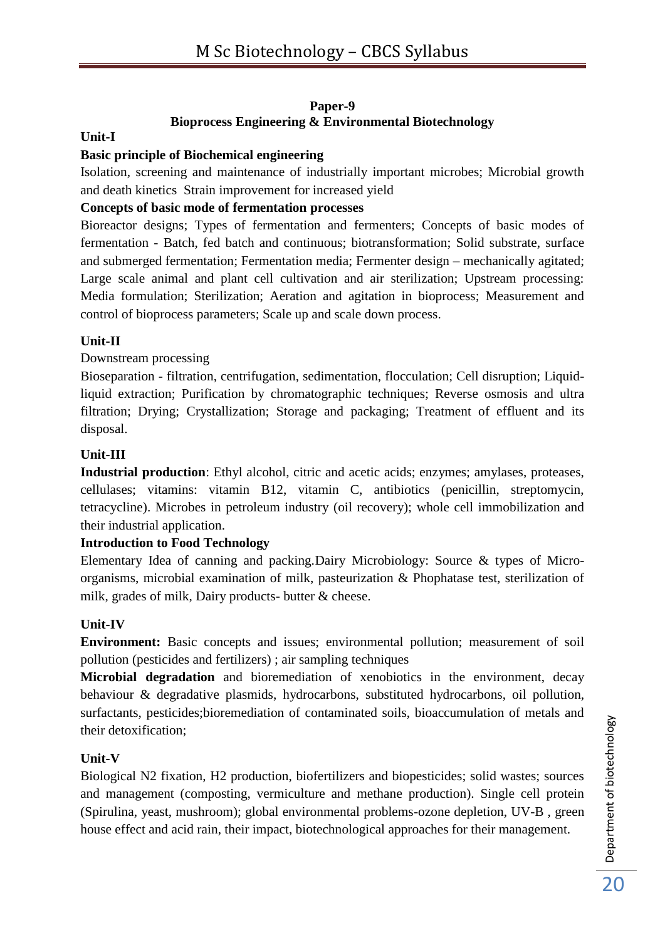## **Paper-9 Bioprocess Engineering & Environmental Biotechnology**

## **Unit-I**

## **Basic principle of Biochemical engineering**

Isolation, screening and maintenance of industrially important microbes; Microbial growth and death kinetics Strain improvement for increased yield

## **Concepts of basic mode of fermentation processes**

Bioreactor designs; Types of fermentation and fermenters; Concepts of basic modes of fermentation - Batch, fed batch and continuous; biotransformation; Solid substrate, surface and submerged fermentation; Fermentation media; Fermenter design – mechanically agitated; Large scale animal and plant cell cultivation and air sterilization; Upstream processing: Media formulation; Sterilization; Aeration and agitation in bioprocess; Measurement and control of bioprocess parameters; Scale up and scale down process.

#### **Unit-II**

#### Downstream processing

Bioseparation - filtration, centrifugation, sedimentation, flocculation; Cell disruption; Liquidliquid extraction; Purification by chromatographic techniques; Reverse osmosis and ultra filtration; Drying; Crystallization; Storage and packaging; Treatment of effluent and its disposal.

#### **Unit-III**

**Industrial production**: Ethyl alcohol, citric and acetic acids; enzymes; amylases, proteases, cellulases; vitamins: vitamin B12, vitamin C, antibiotics (penicillin, streptomycin, tetracycline). Microbes in petroleum industry (oil recovery); whole cell immobilization and their industrial application.

## **Introduction to Food Technology**

Elementary Idea of canning and packing.Dairy Microbiology: Source & types of Microorganisms, microbial examination of milk, pasteurization & Phophatase test, sterilization of milk, grades of milk, Dairy products- butter & cheese.

## **Unit-IV**

**Environment:** Basic concepts and issues; environmental pollution; measurement of soil pollution (pesticides and fertilizers) ; air sampling techniques

**Microbial degradation** and bioremediation of xenobiotics in the environment, decay behaviour & degradative plasmids, hydrocarbons, substituted hydrocarbons, oil pollution, surfactants, pesticides;bioremediation of contaminated soils, bioaccumulation of metals and their detoxification;

#### **Unit-V**

Biological N2 fixation, H2 production, biofertilizers and biopesticides; solid wastes; sources and management (composting, vermiculture and methane production). Single cell protein (Spirulina, yeast, mushroom); global environmental problems-ozone depletion, UV-B , green house effect and acid rain, their impact, biotechnological approaches for their management.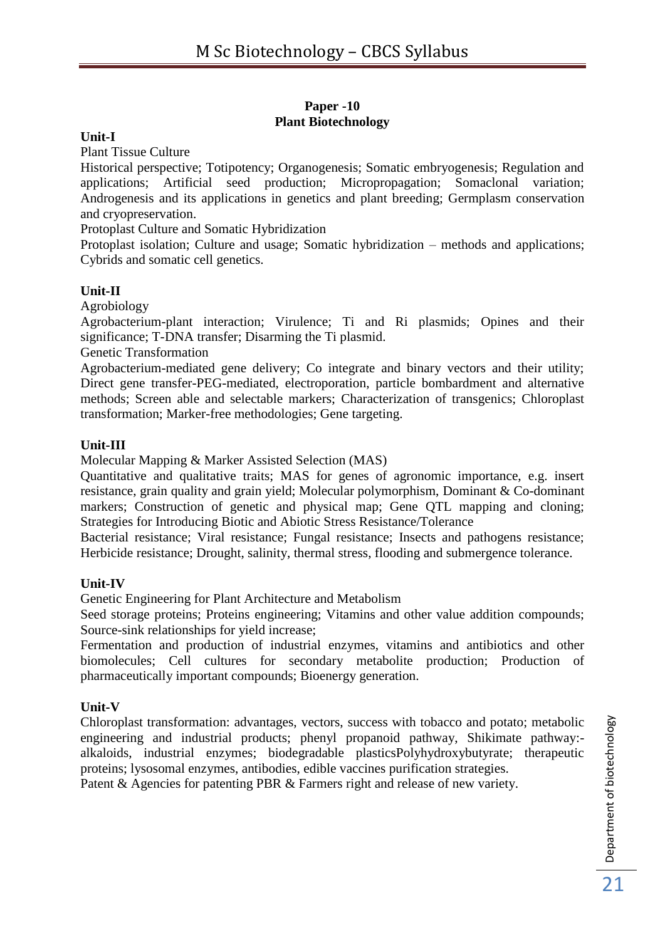#### **Paper -10 Plant Biotechnology**

### **Unit-I**

Plant Tissue Culture

Historical perspective; Totipotency; Organogenesis; Somatic embryogenesis; Regulation and applications; Artificial seed production; Micropropagation; Somaclonal variation; Androgenesis and its applications in genetics and plant breeding; Germplasm conservation and cryopreservation.

Protoplast Culture and Somatic Hybridization

Protoplast isolation; Culture and usage; Somatic hybridization – methods and applications; Cybrids and somatic cell genetics.

#### **Unit-II**

Agrobiology

Agrobacterium-plant interaction; Virulence; Ti and Ri plasmids; Opines and their significance; T-DNA transfer; Disarming the Ti plasmid.

Genetic Transformation

Agrobacterium-mediated gene delivery; Co integrate and binary vectors and their utility; Direct gene transfer-PEG-mediated, electroporation, particle bombardment and alternative methods; Screen able and selectable markers; Characterization of transgenics; Chloroplast transformation; Marker-free methodologies; Gene targeting.

#### **Unit-III**

Molecular Mapping & Marker Assisted Selection (MAS)

Quantitative and qualitative traits; MAS for genes of agronomic importance, e.g. insert resistance, grain quality and grain yield; Molecular polymorphism, Dominant & Co-dominant markers; Construction of genetic and physical map; Gene QTL mapping and cloning; Strategies for Introducing Biotic and Abiotic Stress Resistance/Tolerance

Bacterial resistance; Viral resistance; Fungal resistance; Insects and pathogens resistance; Herbicide resistance; Drought, salinity, thermal stress, flooding and submergence tolerance.

#### **Unit-IV**

Genetic Engineering for Plant Architecture and Metabolism

Seed storage proteins; Proteins engineering; Vitamins and other value addition compounds; Source-sink relationships for yield increase;

Fermentation and production of industrial enzymes, vitamins and antibiotics and other biomolecules; Cell cultures for secondary metabolite production; Production of pharmaceutically important compounds; Bioenergy generation.

#### **Unit-V**

Chloroplast transformation: advantages, vectors, success with tobacco and potato; metabolic engineering and industrial products; phenyl propanoid pathway, Shikimate pathway: alkaloids, industrial enzymes; biodegradable plasticsPolyhydroxybutyrate; therapeutic proteins; lysosomal enzymes, antibodies, edible vaccines purification strategies.

Patent & Agencies for patenting PBR & Farmers right and release of new variety.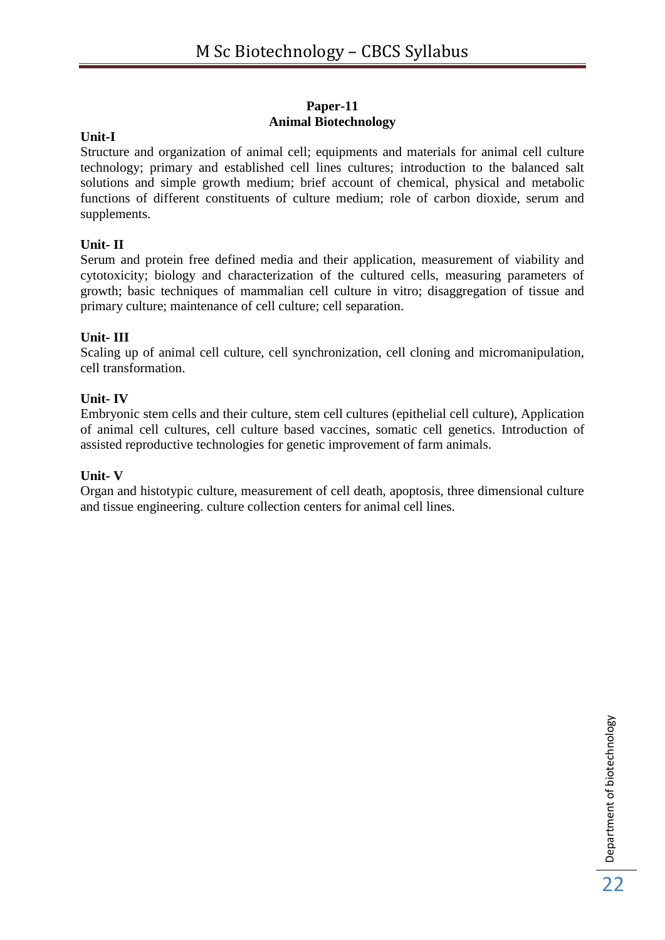#### **Paper-11 Animal Biotechnology**

## **Unit-I**

Structure and organization of animal cell; equipments and materials for animal cell culture technology; primary and established cell lines cultures; introduction to the balanced salt solutions and simple growth medium; brief account of chemical, physical and metabolic functions of different constituents of culture medium; role of carbon dioxide, serum and supplements.

## **Unit- II**

Serum and protein free defined media and their application, measurement of viability and cytotoxicity; biology and characterization of the cultured cells, measuring parameters of growth; basic techniques of mammalian cell culture in vitro; disaggregation of tissue and primary culture; maintenance of cell culture; cell separation.

#### **Unit- III**

Scaling up of animal cell culture, cell synchronization, cell cloning and micromanipulation, cell transformation.

#### **Unit- IV**

Embryonic stem cells and their culture, stem cell cultures (epithelial cell culture), Application of animal cell cultures, cell culture based vaccines, somatic cell genetics. Introduction of assisted reproductive technologies for genetic improvement of farm animals.

#### **Unit- V**

Organ and histotypic culture, measurement of cell death, apoptosis, three dimensional culture and tissue engineering. culture collection centers for animal cell lines.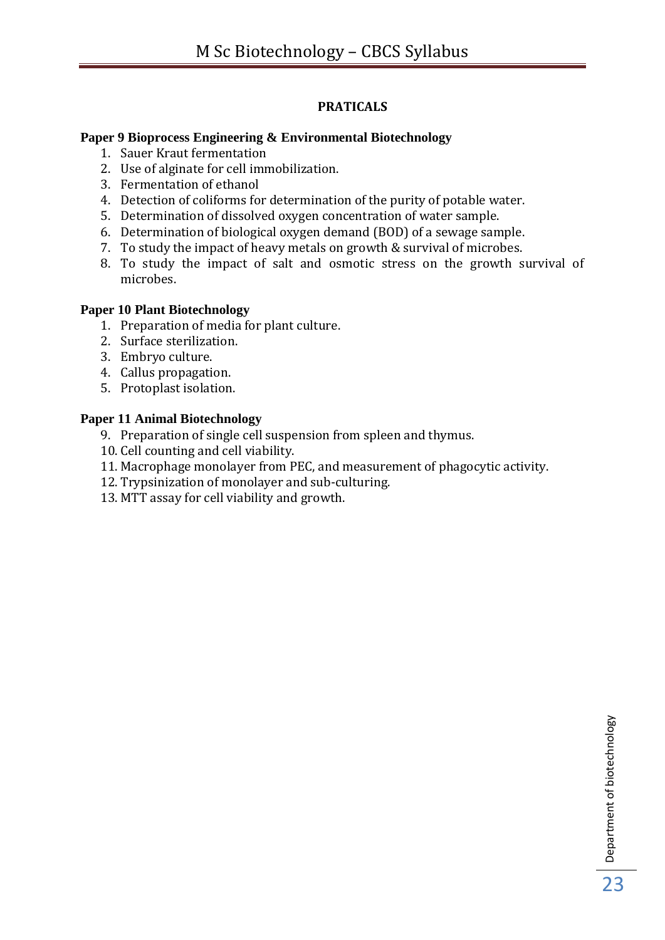## **PRATICALS**

## **Paper 9 Bioprocess Engineering & Environmental Biotechnology**

- 1. Sauer Kraut fermentation
- 2. Use of alginate for cell immobilization.
- 3. Fermentation of ethanol
- 4. Detection of coliforms for determination of the purity of potable water.
- 5. Determination of dissolved oxygen concentration of water sample.
- 6. Determination of biological oxygen demand (BOD) of a sewage sample.
- 7. To study the impact of heavy metals on growth & survival of microbes.
- 8. To study the impact of salt and osmotic stress on the growth survival of microbes.

#### **Paper 10 Plant Biotechnology**

- 1. Preparation of media for plant culture.
- 2. Surface sterilization.
- 3. Embryo culture.
- 4. Callus propagation.
- 5. Protoplast isolation.
- **Paper 11 Animal Biotechnology** 
	- 9. Preparation of single cell suspension from spleen and thymus.
	- 10. Cell counting and cell viability.
	- 11. Macrophage monolayer from PEC, and measurement of phagocytic activity.
	- 12. Trypsinization of monolayer and sub-culturing.
	- 13. MTT assay for cell viability and growth.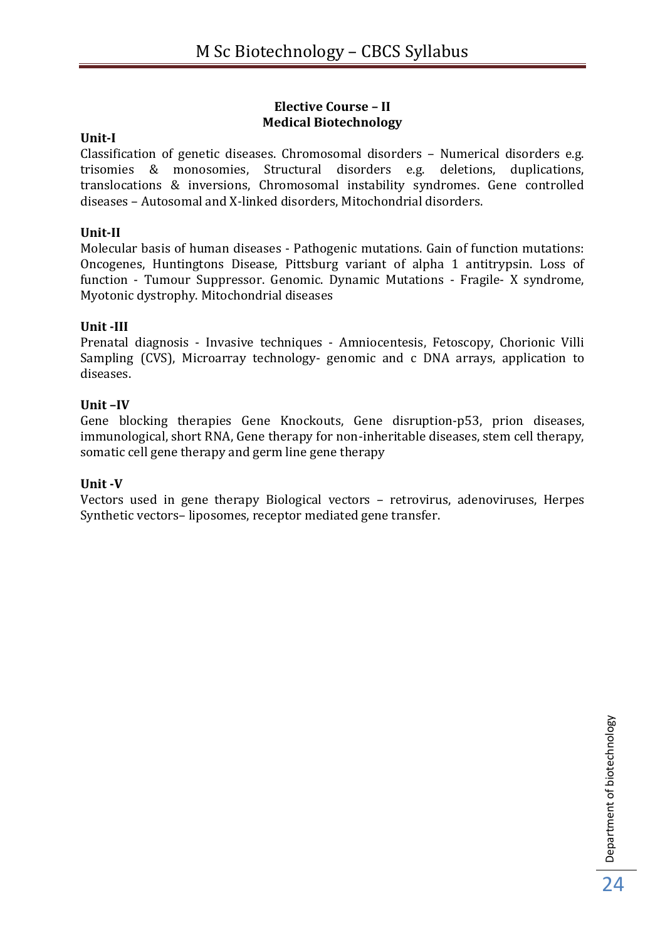## **Elective Course – II Medical Biotechnology**

#### **Unit-I**

Classification of genetic diseases. Chromosomal disorders – Numerical disorders e.g. trisomies & monosomies, Structural disorders e.g. deletions, duplications, translocations & inversions, Chromosomal instability syndromes. Gene controlled diseases – Autosomal and X-linked disorders, Mitochondrial disorders.

#### **Unit-II**

Molecular basis of human diseases - Pathogenic mutations. Gain of function mutations: Oncogenes, Huntingtons Disease, Pittsburg variant of alpha 1 antitrypsin. Loss of function - Tumour Suppressor. Genomic. Dynamic Mutations - Fragile- X syndrome, Myotonic dystrophy. Mitochondrial diseases

#### **Unit -III**

Prenatal diagnosis - Invasive techniques - Amniocentesis, Fetoscopy, Chorionic Villi Sampling (CVS), Microarray technology- genomic and c DNA arrays, application to diseases.

#### **Unit –IV**

Gene blocking therapies Gene Knockouts, Gene disruption-p53, prion diseases, immunological, short RNA, Gene therapy for non-inheritable diseases, stem cell therapy, somatic cell gene therapy and germ line gene therapy

#### **Unit -V**

Vectors used in gene therapy Biological vectors – retrovirus, adenoviruses, Herpes Synthetic vectors– liposomes, receptor mediated gene transfer.